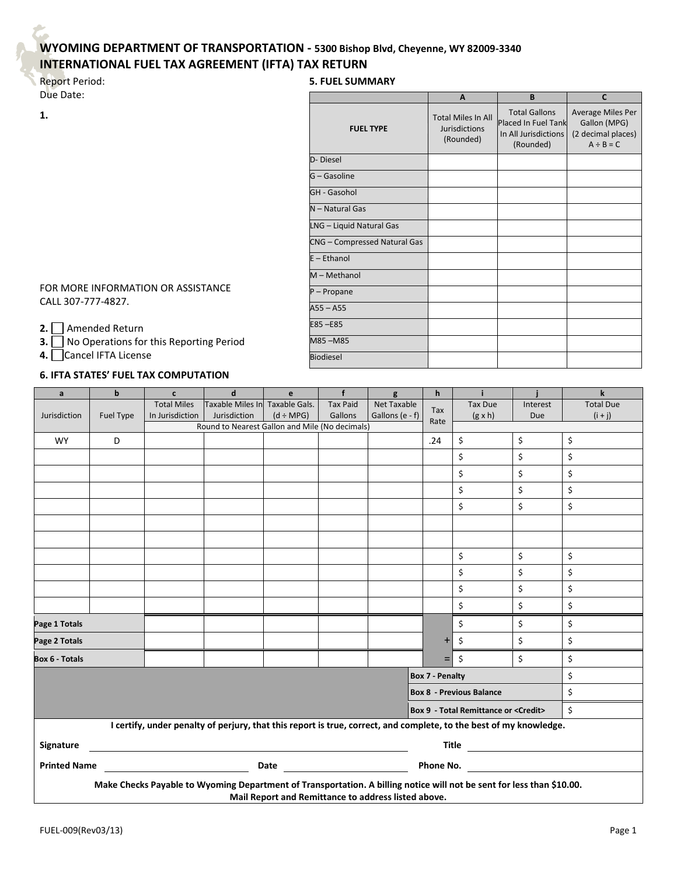## **WYOMING DEPARTMENT OF TRANSPORTATION - 5300 Bishop Blvd, Cheyenne, WY 82009-3340 INTERNATIONAL FUEL TAX AGREEMENT (IFTA) TAX RETURN**

## Report Period: Due Date:

**1.**

| <b>5. FUEL SUMMARY</b>       |                                                                |                                                                                  |                                                                           |  |  |  |  |  |  |  |
|------------------------------|----------------------------------------------------------------|----------------------------------------------------------------------------------|---------------------------------------------------------------------------|--|--|--|--|--|--|--|
|                              | A                                                              | B                                                                                | $\mathsf{C}$                                                              |  |  |  |  |  |  |  |
| <b>FUEL TYPE</b>             | <b>Total Miles In All</b><br><b>Jurisdictions</b><br>(Rounded) | <b>Total Gallons</b><br>Placed In Fuel Tank<br>In All Jurisdictions<br>(Rounded) | Average Miles Per<br>Gallon (MPG)<br>(2 decimal places)<br>$A \div B = C$ |  |  |  |  |  |  |  |
| D-Diesel                     |                                                                |                                                                                  |                                                                           |  |  |  |  |  |  |  |
| G - Gasoline                 |                                                                |                                                                                  |                                                                           |  |  |  |  |  |  |  |
| <b>GH - Gasohol</b>          |                                                                |                                                                                  |                                                                           |  |  |  |  |  |  |  |
| N - Natural Gas              |                                                                |                                                                                  |                                                                           |  |  |  |  |  |  |  |
| LNG - Liquid Natural Gas     |                                                                |                                                                                  |                                                                           |  |  |  |  |  |  |  |
| CNG - Compressed Natural Gas |                                                                |                                                                                  |                                                                           |  |  |  |  |  |  |  |
| $E - Ethanol$                |                                                                |                                                                                  |                                                                           |  |  |  |  |  |  |  |
| M - Methanol                 |                                                                |                                                                                  |                                                                           |  |  |  |  |  |  |  |
| P-Propane                    |                                                                |                                                                                  |                                                                           |  |  |  |  |  |  |  |
| $A55 - A55$                  |                                                                |                                                                                  |                                                                           |  |  |  |  |  |  |  |
| E85-E85                      |                                                                |                                                                                  |                                                                           |  |  |  |  |  |  |  |
| M85-M85                      |                                                                |                                                                                  |                                                                           |  |  |  |  |  |  |  |
| <b>Biodiesel</b>             |                                                                |                                                                                  |                                                                           |  |  |  |  |  |  |  |

FOR MORE INFORMATION OR ASSISTANCE CALL 307-777-4827.

**2.** Amended Return

**3.** No Operations for this Reporting Period

**4.** Cancel IFTA License

## **6. IFTA STATES' FUEL TAX COMPUTATION**

| a                                                                                                                     | $\mathbf b$                                     | $\mathbf{c}$       | $\mathbf d$                                    | e              | f               | g                  | $\mathbf h$ | i.             |          | $\mathbf k$      |
|-----------------------------------------------------------------------------------------------------------------------|-------------------------------------------------|--------------------|------------------------------------------------|----------------|-----------------|--------------------|-------------|----------------|----------|------------------|
|                                                                                                                       |                                                 | <b>Total Miles</b> | Taxable Miles In Taxable Gals.                 |                | <b>Tax Paid</b> | <b>Net Taxable</b> | Tax         | <b>Tax Due</b> | Interest | <b>Total Due</b> |
| Jurisdiction                                                                                                          | Fuel Type                                       | In Jurisdiction    | Jurisdiction                                   | $(d \div MPG)$ | Gallons         | Gallons (e - f)    | Rate        | $(g \times h)$ | Due      | $(i + j)$        |
|                                                                                                                       |                                                 |                    | Round to Nearest Gallon and Mile (No decimals) |                |                 |                    |             |                |          |                  |
| <b>WY</b>                                                                                                             | D                                               |                    |                                                |                |                 |                    | .24         | \$             | \$       | \$               |
|                                                                                                                       |                                                 |                    |                                                |                |                 |                    |             | \$             | \$       | \$               |
|                                                                                                                       |                                                 |                    |                                                |                |                 |                    |             | \$             | \$       | \$               |
|                                                                                                                       |                                                 |                    |                                                |                |                 |                    |             | \$             | \$       | \$               |
|                                                                                                                       |                                                 |                    |                                                |                |                 |                    |             | \$             | \$       | \$               |
|                                                                                                                       |                                                 |                    |                                                |                |                 |                    |             |                |          |                  |
|                                                                                                                       |                                                 |                    |                                                |                |                 |                    |             |                |          |                  |
|                                                                                                                       |                                                 |                    |                                                |                |                 |                    |             | \$             | \$       | \$               |
|                                                                                                                       |                                                 |                    |                                                |                |                 |                    |             | \$             | \$       | \$               |
|                                                                                                                       |                                                 |                    |                                                |                |                 |                    |             | \$             | \$       | \$               |
|                                                                                                                       |                                                 |                    |                                                |                |                 |                    |             | \$             | \$       | \$               |
| Page 1 Totals                                                                                                         |                                                 |                    |                                                |                |                 |                    |             | \$             | \$       | \$               |
| Page 2 Totals                                                                                                         |                                                 |                    |                                                |                |                 |                    | $\ddot{}$   | \$             | \$       | \$               |
| <b>Box 6 - Totals</b>                                                                                                 |                                                 |                    |                                                |                |                 |                    | $=$         | \$             | \$       | \$               |
| <b>Box 7 - Penalty</b>                                                                                                |                                                 |                    |                                                |                |                 |                    |             |                | \$       |                  |
| <b>Box 8 - Previous Balance</b>                                                                                       |                                                 |                    |                                                |                |                 |                    |             |                | \$       |                  |
| <b>Box 9 - Total Remittance or <credit></credit></b>                                                                  |                                                 |                    |                                                |                |                 |                    |             |                | \$       |                  |
| I certify, under penalty of perjury, that this report is true, correct, and complete, to the best of my knowledge.    |                                                 |                    |                                                |                |                 |                    |             |                |          |                  |
| Signature                                                                                                             | $\begin{tabular}{c} \bf Title \\ \end{tabular}$ |                    |                                                |                |                 |                    |             |                |          |                  |
| <b>Printed Name</b>                                                                                                   |                                                 | Date               |                                                |                |                 | Phone No.          |             |                |          |                  |
|                                                                                                                       |                                                 |                    |                                                |                |                 |                    |             |                |          |                  |
| Make Checks Payable to Wyoming Department of Transportation. A billing notice will not be sent for less than \$10.00. |                                                 |                    |                                                |                |                 |                    |             |                |          |                  |
| Mail Report and Remittance to address listed above.                                                                   |                                                 |                    |                                                |                |                 |                    |             |                |          |                  |